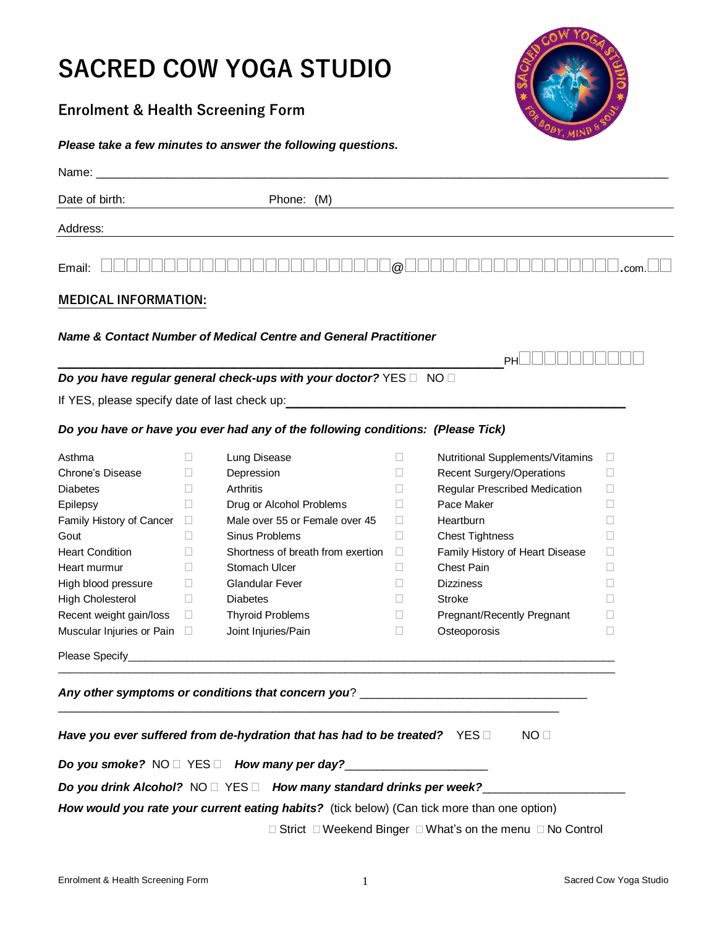# **SACRED COW YOGA STUDIO**

# **Enrolment & Health Screening Form**



|  |  |  | Please take a few minutes to answer the following questions. |
|--|--|--|--------------------------------------------------------------|
|  |  |  |                                                              |

| Name:                       |                   |
|-----------------------------|-------------------|
| Date of birth:              | Phone: (M)        |
| Address:                    |                   |
| Email:                      | $\omega$<br>.com. |
| <b>MEDICAL INFORMATION:</b> |                   |

# *Name & Contact Number of Medical Centre and General Practitioner* \_\_\_\_\_\_\_\_\_\_\_\_\_\_\_\_\_\_\_\_\_\_\_\_\_\_\_\_\_\_\_\_\_\_\_\_\_\_PH *Do you have regular general check-ups with your doctor?* YES  $\Box$  NO  $\Box$ If YES, please specify date of last check up: *Do you have or have you ever had any of the following conditions: (Please Tick)* Asthma Lung Disease Nutritional Supplements/Vitamins Chrone's Disease Depression Depression Depression Depression Depression Depression D Diabetes Arthritis Regular Prescribed Medication Epilepsy **Drug or Alcohol Problems Drug or Alcohol Problems Pace Maker** Family History of Cancer  $\Box$  Male over 55 or Female over 45  $\Box$  Heartburn  $\Box$ Gout Sinus Problems Chest Tightness Heart Condition **Exercise Shortness of breath from exertion**  Family History of Heart Disease **E** Heart murmur The Stomach Ulcer The Chest Pain Chest Pain High blood pressure Glandular Fever **Dividends** Dizziness **Diamond Dividends** Diamond Diamond Diamond Diamond Diamond Diamond Diamond Diamond Diamond Diamond Diamond Diamond Diamond Diamond Diamond Diamond Diamond Diamond High Cholesterol **Diabetes Diabetes Diabetes Diabetes Diabetes Diabetes Diabetes D** Recent weight gain/loss  $\Box$  Thyroid Problems  $\Box$  Pregnant/Recently Pregnant  $\Box$ Muscular Injuries or Pain  $\square$  Joint Injuries/Pain  $\square$  Osteoporosis  $\square$ Please Specify

## Any other symptoms or conditions that concern you? \_\_\_\_\_\_\_\_\_\_\_\_\_\_\_\_\_\_\_\_\_\_\_\_\_\_\_\_\_

| Have you ever suffered from de-hydration that has had to be treated? YES $\Box$<br>NO <sub>1</sub> |  |  |  |  |  |  |
|----------------------------------------------------------------------------------------------------|--|--|--|--|--|--|
| Do you smoke? NO □ YES □ How many per day?                                                         |  |  |  |  |  |  |
| Do you drink Alcohol? $NO \square$ YES $\square$ How many standard drinks per week?                |  |  |  |  |  |  |
| How would you rate your current eating habits? (tick below) (Can tick more than one option)        |  |  |  |  |  |  |

 $\_$  , and the set of the set of the set of the set of the set of the set of the set of the set of the set of the set of the set of the set of the set of the set of the set of the set of the set of the set of the set of th

\_\_\_\_\_\_\_\_\_\_\_\_\_\_\_\_\_\_\_\_\_\_\_\_\_\_\_\_\_\_\_\_\_\_\_\_\_\_\_\_\_\_\_\_\_\_\_\_\_\_\_\_\_\_\_\_\_\_\_\_\_\_\_\_\_\_\_\_\_\_\_\_\_\_\_\_\_\_\_\_\_\_\_\_\_\_\_\_\_\_\_\_\_\_\_

 $\Box$  Strict  $\Box$  Weekend Binger  $\Box$  What's on the menu  $\Box$  No Control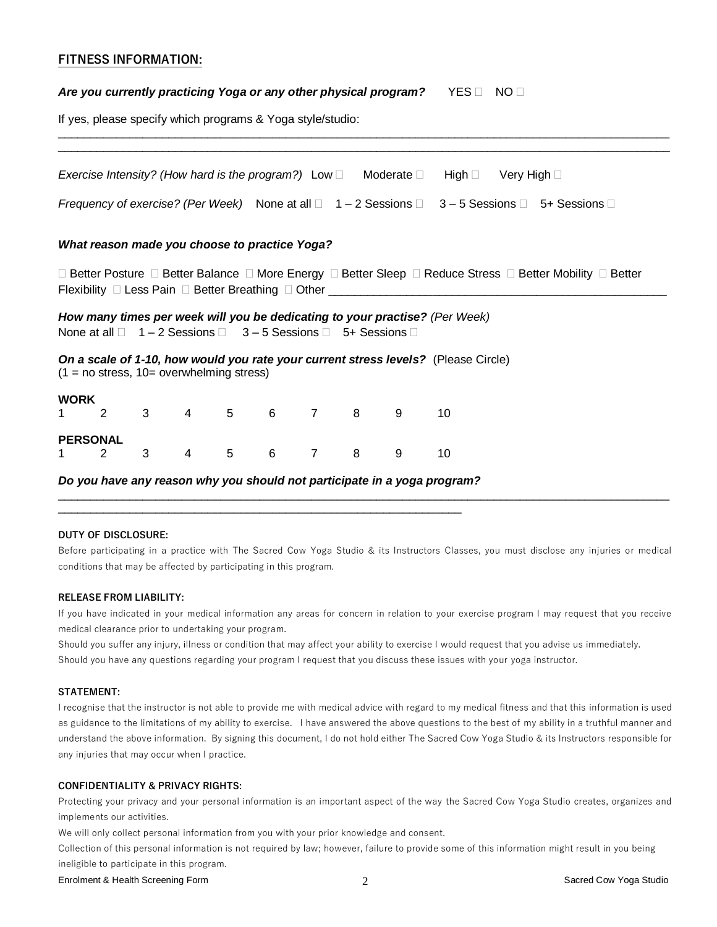## **FITNESS INFORMATION:**

### *Are you currently practicing Yoga or any other physical program?* YES  $\Box$  NO  $\Box$

If yes, please specify which programs & Yoga style/studio:

|                                                                                                                                                                                               |   |             |                 | Exercise Intensity? (How hard is the program?) Low $\Box$ Moderate $\Box$ |   |                |   |   | High □ Very High □                                                                                                  |  |  |
|-----------------------------------------------------------------------------------------------------------------------------------------------------------------------------------------------|---|-------------|-----------------|---------------------------------------------------------------------------|---|----------------|---|---|---------------------------------------------------------------------------------------------------------------------|--|--|
|                                                                                                                                                                                               |   |             |                 |                                                                           |   |                |   |   | Frequency of exercise? (Per Week) None at all $\Box$ 1 – 2 Sessions $\Box$ 3 – 5 Sessions $\Box$ 5+ Sessions $\Box$ |  |  |
|                                                                                                                                                                                               |   |             |                 | What reason made you choose to practice Yoga?                             |   |                |   |   |                                                                                                                     |  |  |
| □ Better Posture □ Better Balance □ More Energy □ Better Sleep □ Reduce Stress □ Better Mobility □ Better<br>Flexibility □ Less Pain □ Better Breathing □ Other _____________________________ |   |             |                 |                                                                           |   |                |   |   |                                                                                                                     |  |  |
| How many times per week will you be dedicating to your practise? (Per Week)<br>None at all $\Box$ 1 – 2 Sessions $\Box$ 3 – 5 Sessions $\Box$ 5+ Sessions $\Box$                              |   |             |                 |                                                                           |   |                |   |   |                                                                                                                     |  |  |
|                                                                                                                                                                                               |   |             |                 | $(1 = no stress, 10 = overwhelming stress)$                               |   |                |   |   | On a scale of 1-10, how would you rate your current stress levels? (Please Circle)                                  |  |  |
| <b>WORK</b>                                                                                                                                                                                   | 2 | $3^{\circ}$ | $4\overline{ }$ | $5 \t 6$                                                                  |   | $\overline{7}$ | 8 | 9 | 10                                                                                                                  |  |  |
| <b>PERSONAL</b>                                                                                                                                                                               | 2 | 3           | $\overline{4}$  | 5                                                                         | 6 | $\overline{7}$ | 8 | 9 | 10                                                                                                                  |  |  |
|                                                                                                                                                                                               |   |             |                 |                                                                           |   |                |   |   | Do you have any reason why you should not participate in a yoga program?                                            |  |  |

 $\_$  ,  $\_$  ,  $\_$  ,  $\_$  ,  $\_$  ,  $\_$  ,  $\_$  ,  $\_$  ,  $\_$  ,  $\_$  ,  $\_$  ,  $\_$  ,  $\_$  ,  $\_$  ,  $\_$  ,  $\_$  ,  $\_$  ,  $\_$  ,  $\_$  ,  $\_$  ,  $\_$  ,  $\_$  ,  $\_$  ,  $\_$  ,  $\_$  ,  $\_$  ,  $\_$  ,  $\_$  ,  $\_$  ,  $\_$  ,  $\_$  ,  $\_$  ,  $\_$  ,  $\_$  ,  $\_$  ,  $\_$  ,  $\_$  ,

#### **DUTY OF DISCLOSURE:**

Before participating in a practice with The Sacred Cow Yoga Studio & its Instructors Classes, you must disclose any injuries or medical conditions that may be affected by participating in this program.

 $\_$  ,  $\_$  ,  $\_$  ,  $\_$  ,  $\_$  ,  $\_$  ,  $\_$  ,  $\_$  ,  $\_$  ,  $\_$  ,  $\_$  ,  $\_$  ,  $\_$  ,  $\_$  ,  $\_$  ,  $\_$  ,  $\_$  ,  $\_$  ,  $\_$  ,  $\_$  ,  $\_$  ,  $\_$  ,  $\_$  ,  $\_$  ,  $\_$  ,  $\_$  ,  $\_$  ,  $\_$  ,  $\_$  ,  $\_$  ,  $\_$  ,  $\_$  ,  $\_$  ,  $\_$  ,  $\_$  ,  $\_$  ,  $\_$  ,

#### **RELEASE FROM LIABILITY:**

If you have indicated in your medical information any areas for concern in relation to your exercise program I may request that you receive medical clearance prior to undertaking your program.

Should you suffer any injury, illness or condition that may affect your ability to exercise I would request that you advise us immediately. Should you have any questions regarding your program I request that you discuss these issues with your yoga instructor.

#### **STATEMENT:**

I recognise that the instructor is not able to provide me with medical advice with regard to my medical fitness and that this information is used as guidance to the limitations of my ability to exercise. I have answered the above questions to the best of my ability in a truthful manner and understand the above information. By signing this document, I do not hold either The Sacred Cow Yoga Studio & its Instructors responsible for any injuries that may occur when I practice.

#### **CONFIDENTIALITY & PRIVACY RIGHTS:**

Protecting your privacy and your personal information is an important aspect of the way the Sacred Cow Yoga Studio creates, organizes and implements our activities.

We will only collect personal information from you with your prior knowledge and consent.

\_\_\_\_\_\_\_\_\_\_\_\_\_\_\_\_\_\_\_\_\_\_\_\_\_\_\_\_\_\_\_\_\_\_\_\_\_\_\_\_\_\_\_\_\_\_\_\_\_\_\_\_\_\_\_\_\_\_\_\_\_\_

Collection of this personal information is not required by law; however, failure to provide some of this information might result in you being ineligible to participate in this program.

Enrolment & Health Screening Form 2 Sacred Cow Yoga Studio